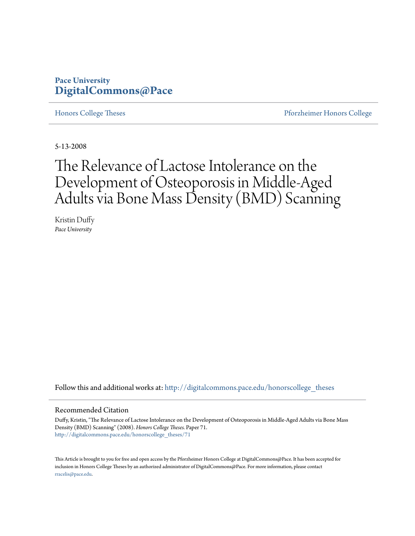### **Pace University [DigitalCommons@Pace](http://digitalcommons.pace.edu?utm_source=digitalcommons.pace.edu%2Fhonorscollege_theses%2F71&utm_medium=PDF&utm_campaign=PDFCoverPages)**

[Honors College Theses](http://digitalcommons.pace.edu/honorscollege_theses?utm_source=digitalcommons.pace.edu%2Fhonorscollege_theses%2F71&utm_medium=PDF&utm_campaign=PDFCoverPages) [Pforzheimer Honors College](http://digitalcommons.pace.edu/pforzheimer?utm_source=digitalcommons.pace.edu%2Fhonorscollege_theses%2F71&utm_medium=PDF&utm_campaign=PDFCoverPages)

5-13-2008

## The Relevance of Lactose Intolerance on the Development of Osteoporosis in Middle-Aged Adults via Bone Mass Density (BMD) Scanning

Kristin Duffy *Pace University*

Follow this and additional works at: [http://digitalcommons.pace.edu/honorscollege\\_theses](http://digitalcommons.pace.edu/honorscollege_theses?utm_source=digitalcommons.pace.edu%2Fhonorscollege_theses%2F71&utm_medium=PDF&utm_campaign=PDFCoverPages)

#### Recommended Citation

Duffy, Kristin, "The Relevance of Lactose Intolerance on the Development of Osteoporosis in Middle-Aged Adults via Bone Mass Density (BMD) Scanning" (2008). *Honors College Theses.* Paper 71. [http://digitalcommons.pace.edu/honorscollege\\_theses/71](http://digitalcommons.pace.edu/honorscollege_theses/71?utm_source=digitalcommons.pace.edu%2Fhonorscollege_theses%2F71&utm_medium=PDF&utm_campaign=PDFCoverPages)

This Article is brought to you for free and open access by the Pforzheimer Honors College at DigitalCommons@Pace. It has been accepted for inclusion in Honors College Theses by an authorized administrator of DigitalCommons@Pace. For more information, please contact [rracelis@pace.edu](mailto:rracelis@pace.edu).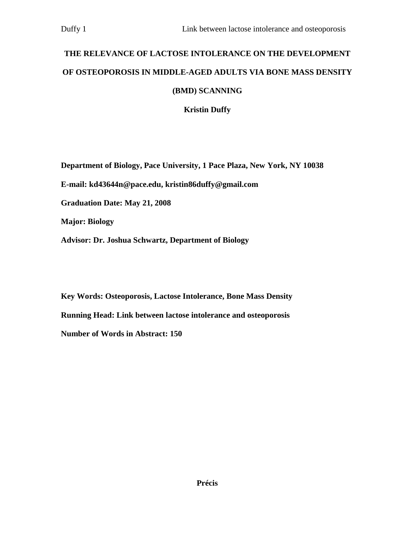# **THE RELEVANCE OF LACTOSE INTOLERANCE ON THE DEVELOPMENT OF OSTEOPOROSIS IN MIDDLE-AGED ADULTS VIA BONE MASS DENSITY (BMD) SCANNING**

**Kristin Duffy** 

**Department of Biology, Pace University, 1 Pace Plaza, New York, NY 10038 E-mail: kd43644n@pace.edu, kristin86duffy@gmail.com Graduation Date: May 21, 2008 Major: Biology Advisor: Dr. Joshua Schwartz, Department of Biology** 

**Key Words: Osteoporosis, Lactose Intolerance, Bone Mass Density Running Head: Link between lactose intolerance and osteoporosis Number of Words in Abstract: 150**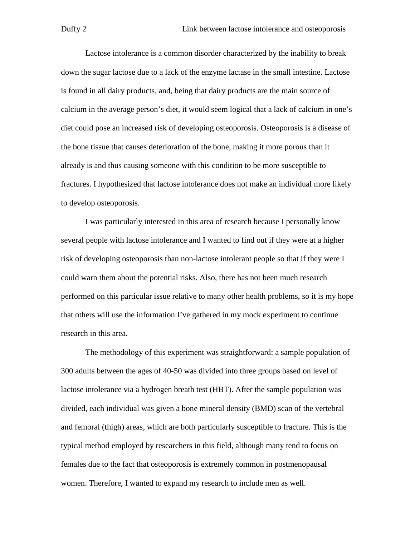Lactose intolerance is a common disorder characterized by the inability to break down the sugar lactose due to a lack of the enzyme lactase in the small intestine. Lactose is found in all dairy products, and, being that dairy products are the main source of calcium in the average person's diet, it would seem logical that a lack of calcium in one's diet could pose an increased risk of developing osteoporosis. Osteoporosis is a disease of the bone tissue that causes deterioration of the bone, making it more porous than it already is and thus causing someone with this condition to be more susceptible to fractures. I hypothesized that lactose intolerance does not make an individual more likely to develop osteoporosis.

I was particularly interested in this area of research because I personally know several people with lactose intolerance and I wanted to find out if they were at a higher risk of developing osteoporosis than non-lactose intolerant people so that if they were I could warn them about the potential risks. Also, there has not been much research performed on this particular issue relative to many other health problems, so it is my hope that others will use the information I've gathered in my mock experiment to continue research in this area.

The methodology of this experiment was straightforward: a sample population of 300 adults between the ages of 40-50 was divided into three groups based on level of lactose intolerance via a hydrogen breath test (HBT). After the sample population was divided, each individual was given a bone mineral density (BMD) scan of the vertebral and femoral (thigh) areas, which are both particularly susceptible to fracture. This is the typical method employed by researchers in this field, although many tend to focus on females due to the fact that osteoporosis is extremely common in postmenopausal women. Therefore, I wanted to expand my research to include men as well.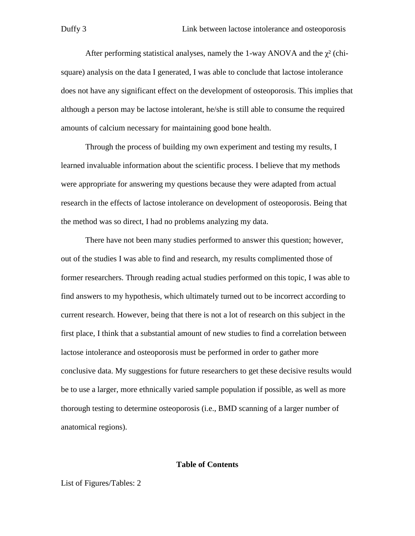After performing statistical analyses, namely the 1-way ANOVA and the  $\gamma^2$  (chisquare) analysis on the data I generated, I was able to conclude that lactose intolerance does not have any significant effect on the development of osteoporosis. This implies that although a person may be lactose intolerant, he/she is still able to consume the required amounts of calcium necessary for maintaining good bone health.

Through the process of building my own experiment and testing my results, I learned invaluable information about the scientific process. I believe that my methods were appropriate for answering my questions because they were adapted from actual research in the effects of lactose intolerance on development of osteoporosis. Being that the method was so direct, I had no problems analyzing my data.

There have not been many studies performed to answer this question; however, out of the studies I was able to find and research, my results complimented those of former researchers. Through reading actual studies performed on this topic, I was able to find answers to my hypothesis, which ultimately turned out to be incorrect according to current research. However, being that there is not a lot of research on this subject in the first place, I think that a substantial amount of new studies to find a correlation between lactose intolerance and osteoporosis must be performed in order to gather more conclusive data. My suggestions for future researchers to get these decisive results would be to use a larger, more ethnically varied sample population if possible, as well as more thorough testing to determine osteoporosis (i.e., BMD scanning of a larger number of anatomical regions).

#### **Table of Contents**

List of Figures/Tables: 2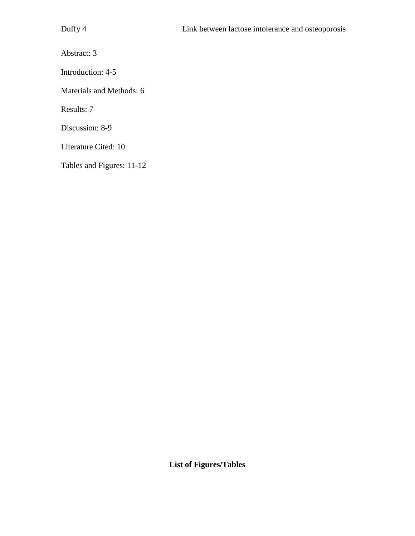Abstract: 3

Introduction: 4-5

Materials and Methods: 6

Results: 7

Discussion: 8-9

Literature Cited: 10

Tables and Figures: 11-12

**List of Figures/Tables**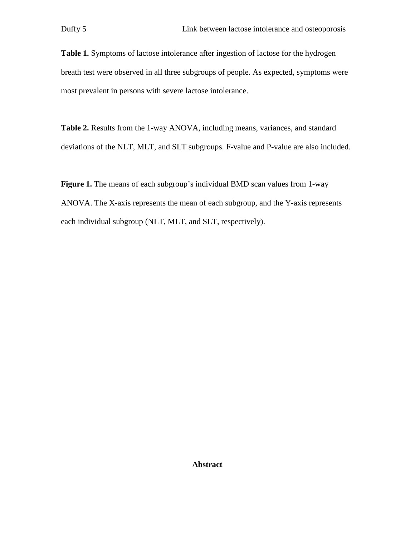Table 1. Symptoms of lactose intolerance after ingestion of lactose for the hydrogen breath test were observed in all three subgroups of people. As expected, symptoms were most prevalent in persons with severe lactose intolerance.

**Table 2.** Results from the 1-way ANOVA, including means, variances, and standard deviations of the NLT, MLT, and SLT subgroups. F-value and P-value are also included.

**Figure 1.** The means of each subgroup's individual BMD scan values from 1-way ANOVA. The X-axis represents the mean of each subgroup, and the Y-axis represents each individual subgroup (NLT, MLT, and SLT, respectively).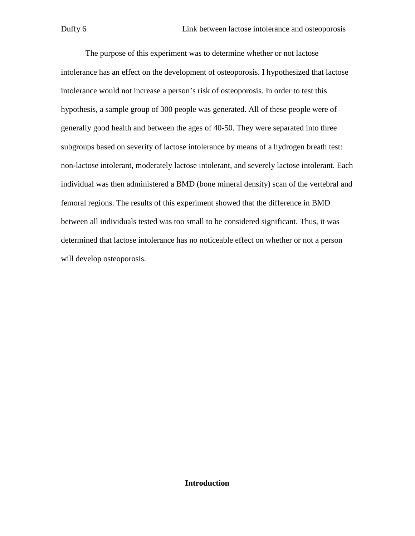The purpose of this experiment was to determine whether or not lactose intolerance has an effect on the development of osteoporosis. I hypothesized that lactose intolerance would not increase a person's risk of osteoporosis. In order to test this hypothesis, a sample group of 300 people was generated. All of these people were of generally good health and between the ages of 40-50. They were separated into three subgroups based on severity of lactose intolerance by means of a hydrogen breath test: non-lactose intolerant, moderately lactose intolerant, and severely lactose intolerant. Each individual was then administered a BMD (bone mineral density) scan of the vertebral and femoral regions. The results of this experiment showed that the difference in BMD between all individuals tested was too small to be considered significant. Thus, it was determined that lactose intolerance has no noticeable effect on whether or not a person will develop osteoporosis.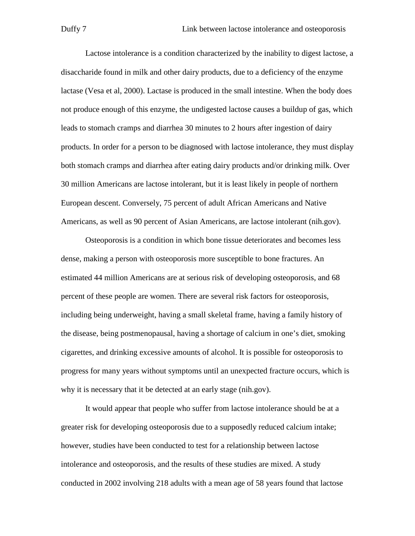Lactose intolerance is a condition characterized by the inability to digest lactose, a disaccharide found in milk and other dairy products, due to a deficiency of the enzyme lactase (Vesa et al, 2000). Lactase is produced in the small intestine. When the body does not produce enough of this enzyme, the undigested lactose causes a buildup of gas, which leads to stomach cramps and diarrhea 30 minutes to 2 hours after ingestion of dairy products. In order for a person to be diagnosed with lactose intolerance, they must display both stomach cramps and diarrhea after eating dairy products and/or drinking milk. Over 30 million Americans are lactose intolerant, but it is least likely in people of northern European descent. Conversely, 75 percent of adult African Americans and Native Americans, as well as 90 percent of Asian Americans, are lactose intolerant (nih.gov).

 Osteoporosis is a condition in which bone tissue deteriorates and becomes less dense, making a person with osteoporosis more susceptible to bone fractures. An estimated 44 million Americans are at serious risk of developing osteoporosis, and 68 percent of these people are women. There are several risk factors for osteoporosis, including being underweight, having a small skeletal frame, having a family history of the disease, being postmenopausal, having a shortage of calcium in one's diet, smoking cigarettes, and drinking excessive amounts of alcohol. It is possible for osteoporosis to progress for many years without symptoms until an unexpected fracture occurs, which is why it is necessary that it be detected at an early stage (nih.gov).

 It would appear that people who suffer from lactose intolerance should be at a greater risk for developing osteoporosis due to a supposedly reduced calcium intake; however, studies have been conducted to test for a relationship between lactose intolerance and osteoporosis, and the results of these studies are mixed. A study conducted in 2002 involving 218 adults with a mean age of 58 years found that lactose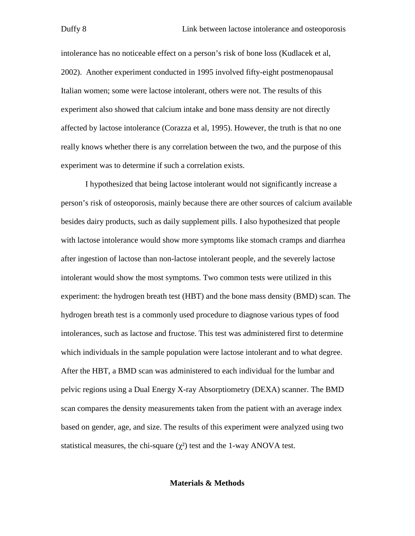intolerance has no noticeable effect on a person's risk of bone loss (Kudlacek et al, 2002). Another experiment conducted in 1995 involved fifty-eight postmenopausal Italian women; some were lactose intolerant, others were not. The results of this experiment also showed that calcium intake and bone mass density are not directly affected by lactose intolerance (Corazza et al, 1995). However, the truth is that no one really knows whether there is any correlation between the two, and the purpose of this experiment was to determine if such a correlation exists.

 I hypothesized that being lactose intolerant would not significantly increase a person's risk of osteoporosis, mainly because there are other sources of calcium available besides dairy products, such as daily supplement pills. I also hypothesized that people with lactose intolerance would show more symptoms like stomach cramps and diarrhea after ingestion of lactose than non-lactose intolerant people, and the severely lactose intolerant would show the most symptoms. Two common tests were utilized in this experiment: the hydrogen breath test (HBT) and the bone mass density (BMD) scan. The hydrogen breath test is a commonly used procedure to diagnose various types of food intolerances, such as lactose and fructose. This test was administered first to determine which individuals in the sample population were lactose intolerant and to what degree. After the HBT, a BMD scan was administered to each individual for the lumbar and pelvic regions using a Dual Energy X-ray Absorptiometry (DEXA) scanner. The BMD scan compares the density measurements taken from the patient with an average index based on gender, age, and size. The results of this experiment were analyzed using two statistical measures, the chi-square  $(\chi^2)$  test and the 1-way ANOVA test.

#### **Materials & Methods**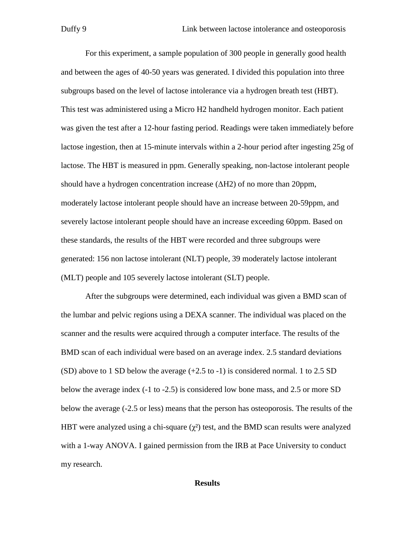For this experiment, a sample population of 300 people in generally good health and between the ages of 40-50 years was generated. I divided this population into three subgroups based on the level of lactose intolerance via a hydrogen breath test (HBT). This test was administered using a Micro H2 handheld hydrogen monitor. Each patient was given the test after a 12-hour fasting period. Readings were taken immediately before lactose ingestion, then at 15-minute intervals within a 2-hour period after ingesting 25g of lactose. The HBT is measured in ppm. Generally speaking, non-lactose intolerant people should have a hydrogen concentration increase (∆H2) of no more than 20ppm, moderately lactose intolerant people should have an increase between 20-59ppm, and severely lactose intolerant people should have an increase exceeding 60ppm. Based on these standards, the results of the HBT were recorded and three subgroups were generated: 156 non lactose intolerant (NLT) people, 39 moderately lactose intolerant (MLT) people and 105 severely lactose intolerant (SLT) people.

 After the subgroups were determined, each individual was given a BMD scan of the lumbar and pelvic regions using a DEXA scanner. The individual was placed on the scanner and the results were acquired through a computer interface. The results of the BMD scan of each individual were based on an average index. 2.5 standard deviations (SD) above to 1 SD below the average (+2.5 to -1) is considered normal. 1 to 2.5 SD below the average index (-1 to -2.5) is considered low bone mass, and 2.5 or more SD below the average (-2.5 or less) means that the person has osteoporosis. The results of the HBT were analyzed using a chi-square  $(\chi^2)$  test, and the BMD scan results were analyzed with a 1-way ANOVA. I gained permission from the IRB at Pace University to conduct my research.

#### **Results**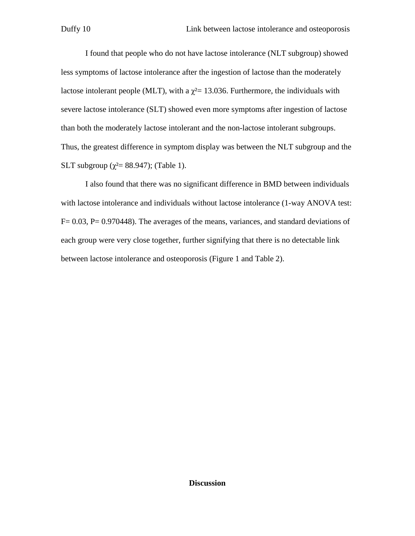I found that people who do not have lactose intolerance (NLT subgroup) showed less symptoms of lactose intolerance after the ingestion of lactose than the moderately lactose intolerant people (MLT), with a  $\chi^2$  = 13.036. Furthermore, the individuals with severe lactose intolerance (SLT) showed even more symptoms after ingestion of lactose than both the moderately lactose intolerant and the non-lactose intolerant subgroups. Thus, the greatest difference in symptom display was between the NLT subgroup and the SLT subgroup ( $\chi^2$  = 88.947); (Table 1).

 I also found that there was no significant difference in BMD between individuals with lactose intolerance and individuals without lactose intolerance (1-way ANOVA test:  $F = 0.03$ ,  $P = 0.970448$ ). The averages of the means, variances, and standard deviations of each group were very close together, further signifying that there is no detectable link between lactose intolerance and osteoporosis (Figure 1 and Table 2).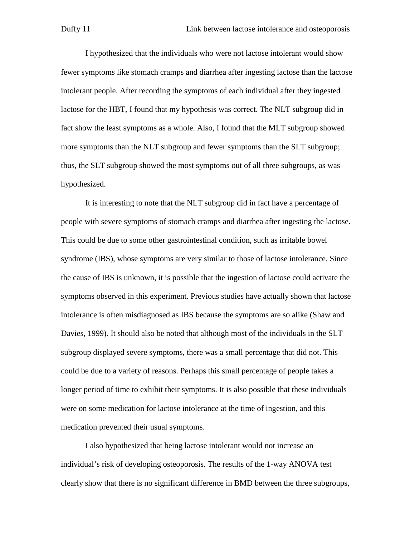I hypothesized that the individuals who were not lactose intolerant would show fewer symptoms like stomach cramps and diarrhea after ingesting lactose than the lactose intolerant people. After recording the symptoms of each individual after they ingested lactose for the HBT, I found that my hypothesis was correct. The NLT subgroup did in fact show the least symptoms as a whole. Also, I found that the MLT subgroup showed more symptoms than the NLT subgroup and fewer symptoms than the SLT subgroup; thus, the SLT subgroup showed the most symptoms out of all three subgroups, as was hypothesized.

It is interesting to note that the NLT subgroup did in fact have a percentage of people with severe symptoms of stomach cramps and diarrhea after ingesting the lactose. This could be due to some other gastrointestinal condition, such as irritable bowel syndrome (IBS), whose symptoms are very similar to those of lactose intolerance. Since the cause of IBS is unknown, it is possible that the ingestion of lactose could activate the symptoms observed in this experiment. Previous studies have actually shown that lactose intolerance is often misdiagnosed as IBS because the symptoms are so alike (Shaw and Davies, 1999). It should also be noted that although most of the individuals in the SLT subgroup displayed severe symptoms, there was a small percentage that did not. This could be due to a variety of reasons. Perhaps this small percentage of people takes a longer period of time to exhibit their symptoms. It is also possible that these individuals were on some medication for lactose intolerance at the time of ingestion, and this medication prevented their usual symptoms.

 I also hypothesized that being lactose intolerant would not increase an individual's risk of developing osteoporosis. The results of the 1-way ANOVA test clearly show that there is no significant difference in BMD between the three subgroups,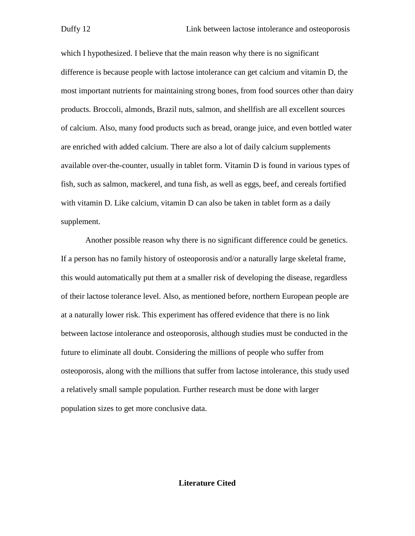which I hypothesized. I believe that the main reason why there is no significant difference is because people with lactose intolerance can get calcium and vitamin D, the most important nutrients for maintaining strong bones, from food sources other than dairy products. Broccoli, almonds, Brazil nuts, salmon, and shellfish are all excellent sources of calcium. Also, many food products such as bread, orange juice, and even bottled water are enriched with added calcium. There are also a lot of daily calcium supplements available over-the-counter, usually in tablet form. Vitamin D is found in various types of fish, such as salmon, mackerel, and tuna fish, as well as eggs, beef, and cereals fortified with vitamin D. Like calcium, vitamin D can also be taken in tablet form as a daily supplement.

 Another possible reason why there is no significant difference could be genetics. If a person has no family history of osteoporosis and/or a naturally large skeletal frame, this would automatically put them at a smaller risk of developing the disease, regardless of their lactose tolerance level. Also, as mentioned before, northern European people are at a naturally lower risk. This experiment has offered evidence that there is no link between lactose intolerance and osteoporosis, although studies must be conducted in the future to eliminate all doubt. Considering the millions of people who suffer from osteoporosis, along with the millions that suffer from lactose intolerance, this study used a relatively small sample population. Further research must be done with larger population sizes to get more conclusive data.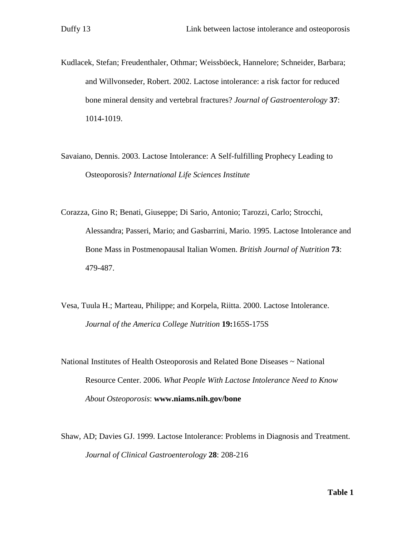- Kudlacek, Stefan; Freudenthaler, Othmar; Weissböeck, Hannelore; Schneider, Barbara; and Willvonseder, Robert. 2002. Lactose intolerance: a risk factor for reduced bone mineral density and vertebral fractures? *Journal of Gastroenterology* **37**: 1014-1019.
- Savaiano, Dennis. 2003. Lactose Intolerance: A Self-fulfilling Prophecy Leading to Osteoporosis? *International Life Sciences Institute*
- Corazza, Gino R; Benati, Giuseppe; Di Sario, Antonio; Tarozzi, Carlo; Strocchi, Alessandra; Passeri, Mario; and Gasbarrini, Mario. 1995. Lactose Intolerance and Bone Mass in Postmenopausal Italian Women. *British Journal of Nutrition* **73**: 479-487.
- Vesa, Tuula H.; Marteau, Philippe; and Korpela, Riitta. 2000. Lactose Intolerance. *Journal of the America College Nutrition* **19:**165S-175S
- National Institutes of Health Osteoporosis and Related Bone Diseases ~ National Resource Center. 2006. *What People With Lactose Intolerance Need to Know About Osteoporosis*: **www.niams.nih.gov/bone**
- Shaw, AD; Davies GJ. 1999. Lactose Intolerance: Problems in Diagnosis and Treatment. *Journal of Clinical Gastroenterology* **28**: 208-216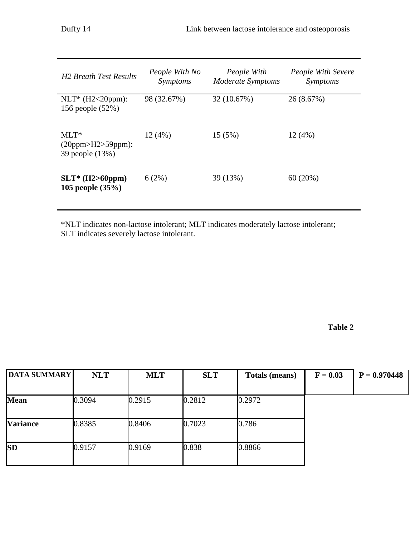| <b>H2 Breath Test Results</b>                   | People With No<br>Symptoms | People With<br>Moderate Symptoms |            |
|-------------------------------------------------|----------------------------|----------------------------------|------------|
| $NLT^*$ (H2<20ppm):<br>156 people (52%)         | 98 (32.67%)                | 32 (10.67%)                      | 26 (8.67%) |
| $MLT^*$<br>(20ppm>H2>59ppm):<br>39 people (13%) | 12(4%)                     | 15(5%)                           | 12(4%)     |
| $SLT^*$ (H2>60ppm)<br>105 people $(35%)$        | 6(2%)                      | 39 (13%)                         | 60(20%)    |

\*NLT indicates non-lactose intolerant; MLT indicates moderately lactose intolerant; SLT indicates severely lactose intolerant.

**Table 2**

| <b>DATA SUMMARY</b> | <b>NLT</b> | <b>MLT</b> | <b>SLT</b> | <b>Totals (means)</b> | $F = 0.03$ | $P = 0.970448$ |
|---------------------|------------|------------|------------|-----------------------|------------|----------------|
|                     |            |            |            |                       |            |                |
| <b>Mean</b>         | 0.3094     | 0.2915     | 0.2812     | 0.2972                |            |                |
| <b>Variance</b>     | 0.8385     | 0.8406     | 0.7023     | 0.786                 |            |                |
| <b>SD</b>           | 0.9157     | 0.9169     | 0.838      | 0.8866                |            |                |
|                     |            |            |            |                       |            |                |